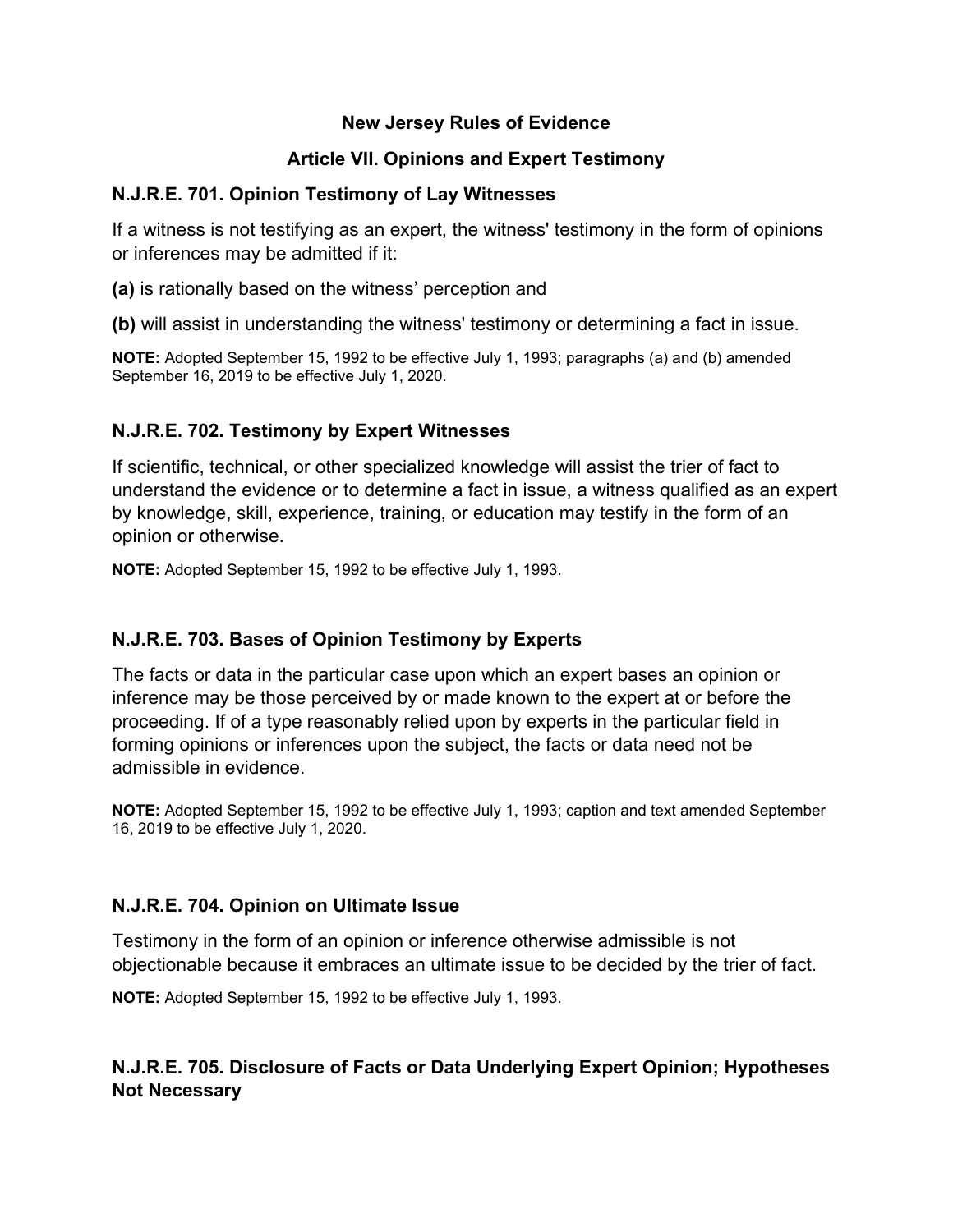#### **New Jersey Rules of Evidence**

## **Article VII. Opinions and Expert Testimony**

#### **N.J.R.E. 701. Opinion Testimony of Lay Witnesses**

If a witness is not testifying as an expert, the witness' testimony in the form of opinions or inferences may be admitted if it:

**(a)** is rationally based on the witness' perception and

**(b)** will assist in understanding the witness' testimony or determining a fact in issue.

**NOTE:** Adopted September 15, 1992 to be effective July 1, 1993; paragraphs (a) and (b) amended September 16, 2019 to be effective July 1, 2020.

# **N.J.R.E. 702. Testimony by Expert Witnesses**

If scientific, technical, or other specialized knowledge will assist the trier of fact to understand the evidence or to determine a fact in issue, a witness qualified as an expert by knowledge, skill, experience, training, or education may testify in the form of an opinion or otherwise.

**NOTE:** Adopted September 15, 1992 to be effective July 1, 1993.

## **N.J.R.E. 703. Bases of Opinion Testimony by Experts**

The facts or data in the particular case upon which an expert bases an opinion or inference may be those perceived by or made known to the expert at or before the proceeding. If of a type reasonably relied upon by experts in the particular field in forming opinions or inferences upon the subject, the facts or data need not be admissible in evidence.

**NOTE:** Adopted September 15, 1992 to be effective July 1, 1993; caption and text amended September 16, 2019 to be effective July 1, 2020.

## **N.J.R.E. 704. Opinion on Ultimate Issue**

Testimony in the form of an opinion or inference otherwise admissible is not objectionable because it embraces an ultimate issue to be decided by the trier of fact.

**NOTE:** Adopted September 15, 1992 to be effective July 1, 1993.

# **N.J.R.E. 705. Disclosure of Facts or Data Underlying Expert Opinion; Hypotheses Not Necessary**